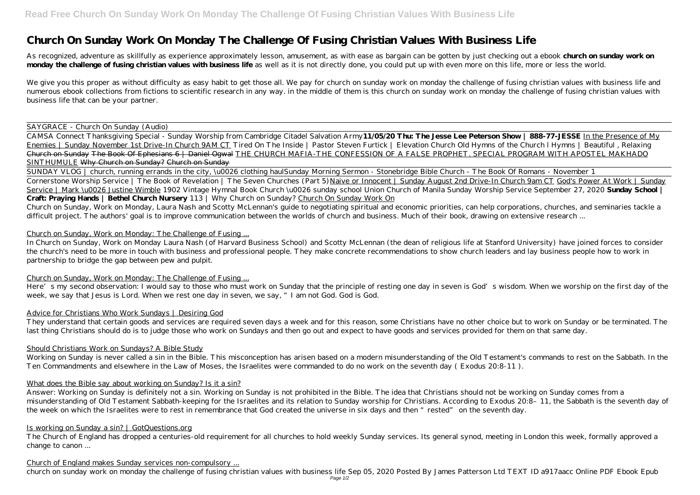As recognized, adventure as skillfully as experience approximately lesson, amusement, as with ease as bargain can be gotten by just checking out a ebook **church on sunday work on** monday the challenge of fusing christian values with business life as well as it is not directly done, you could put up with even more on this life, more or less the world.

# **Church On Sunday Work On Monday The Challenge Of Fusing Christian Values With Business Life**

We give you this proper as without difficulty as easy habit to get those all. We pay for church on sunday work on monday the challenge of fusing christian values with business life and numerous ebook collections from fictions to scientific research in any way. in the middle of them is this church on sunday work on monday the challenge of fusing christian values with business life that can be your partner.

# SAYGRACE - Church On Sunday (Audio)

Church on Sunday, Work on Monday, Laura Nash and Scotty McLennan's guide to negotiating spiritual and economic priorities, can help corporations, churches, and seminaries tackle a difficult project. The authors' goal is to improve communication between the worlds of church and business. Much of their book, drawing on extensive research ...

CAMSA Connect Thanksgiving Special - Sunday Worship from Cambridge Citadel Salvation Army**11/05/20 Thu: The Jesse Lee Peterson Show | 888-77-JESSE** In the Presence of My Enemies | Sunday November 1st Drive-In Church 9AM CT Tired On The Inside | Pastor Steven Furtick | Elevation Church *Old Hymns of the Church l Hymns | Beautiful , Relaxing* Church on Sunday The Book Of Ephesians 6 | Daniel Ogwal THE CHURCH MAFIA-THE CONFESSION OF A FALSE PROPHET. SPECIAL PROGRAM WITH APOSTEL MAKHADO SINTHUMULE Why Church on Sunday? Church on Sunday

Here's my second observation: I would say to those who must work on Sunday that the principle of resting one day in seven is God's wisdom. When we worship on the first day of the week, we say that Jesus is Lord. When we rest one day in seven, we say, "I am not God. God is God.

SUNDAY VLOG | church, running errands in the city, \u0026 clothing haul*Sunday Morning Sermon - Stonebridge Bible Church - The Book Of Romans - November 1* Cornerstone Worship Service | The Book of Revelation | The Seven Churches (Part 5) Naive or Innocent | Sunday August 2nd Drive-In Church 9am CT God's Power At Work | Sunday Service | Mark \u0026 Justine Wimble *1902 Vintage Hymnal Book Church \u0026 sunday school Union Church of Manila Sunday Worship Service September 27, 2020* **Sunday School | Craft: Praying Hands | Bethel Church Nursery** *113 | Why Church on Sunday?* Church On Sunday Work On

# Church on Sunday, Work on Monday: The Challenge of Fusing ...

In Church on Sunday, Work on Monday Laura Nash (of Harvard Business School) and Scotty McLennan (the dean of religious life at Stanford University) have joined forces to consider the church's need to be more in touch with business and professional people. They make concrete recommendations to show church leaders and lay business people how to work in partnership to bridge the gap between pew and pulpit.

# Church on Sunday, Work on Monday: The Challenge of Fusing ...

# Advice for Christians Who Work Sundays | Desiring God

They understand that certain goods and services are required seven days a week and for this reason, some Christians have no other choice but to work on Sunday or be terminated. The last thing Christians should do is to judge those who work on Sundays and then go out and expect to have goods and services provided for them on that same day.

# Should Christians Work on Sundays? A Bible Study

Working on Sunday is never called a sin in the Bible. This misconception has arisen based on a modern misunderstanding of the Old Testament's commands to rest on the Sabbath. In the Ten Commandments and elsewhere in the Law of Moses, the Israelites were commanded to do no work on the seventh day ( Exodus 20:8-11 ).

# What does the Bible say about working on Sunday? Is it a sin?

Answer: Working on Sunday is definitely not a sin. Working on Sunday is not prohibited in the Bible. The idea that Christians should not be working on Sunday comes from a misunderstanding of Old Testament Sabbath-keeping for the Israelites and its relation to Sunday worship for Christians. According to Exodus 20:8–11, the Sabbath is the seventh day of the week on which the Israelites were to rest in remembrance that God created the universe in six days and then "rested" on the seventh day.

# Is working on Sunday a sin? | GotQuestions.org

The Church of England has dropped a centuries-old requirement for all churches to hold weekly Sunday services. Its general synod, meeting in London this week, formally approved a change to canon ...

# Church of England makes Sunday services non-compulsory ...

church on sunday work on monday the challenge of fusing christian values with business life Sep 05, 2020 Posted By James Patterson Ltd TEXT ID a917aacc Online PDF Ebook Epub Page 1/2